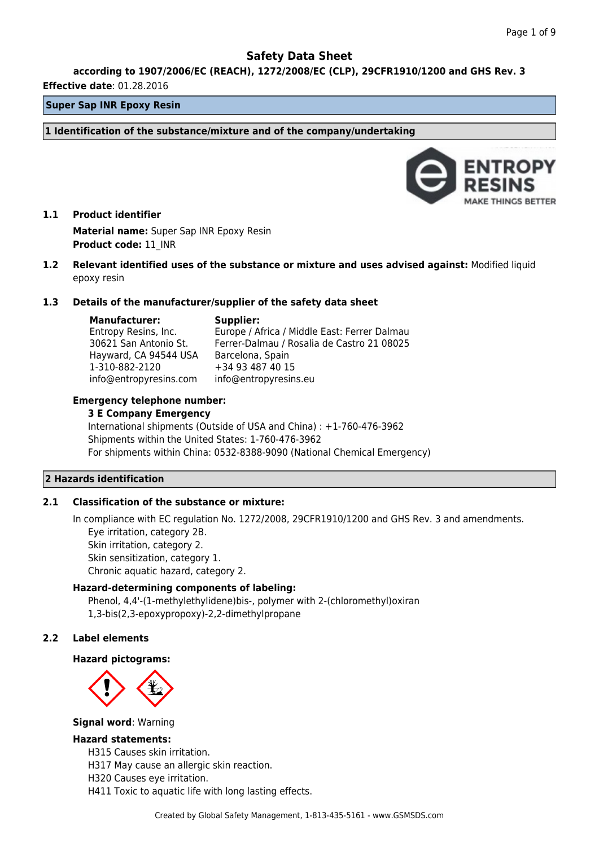**according to 1907/2006/EC (REACH), 1272/2008/EC (CLP), 29CFR1910/1200 and GHS Rev. 3**

#### **Effective date**: 01.28.2016

### **Super Sap INR Epoxy Resin**

**1 Identification of the substance/mixture and of the company/undertaking**



## **1.1 Product identifier Material name:** Super Sap INR Epoxy Resin **Product code:** 11\_INR

**1.2 Relevant identified uses of the substance or mixture and uses advised against:** Modified liquid epoxy resin

### **1.3 Details of the manufacturer/supplier of the safety data sheet**

**Manufacturer:**

## **Supplier:**

Entropy Resins, Inc. 30621 San Antonio St. Hayward, CA 94544 USA 1-310-882-2120 info@entropyresins.com Europe / Africa / Middle East: Ferrer Dalmau Ferrer-Dalmau / Rosalia de Castro 21 08025 Barcelona, Spain +34 93 487 40 15 info@entropyresins.eu

### **Emergency telephone number:**

#### **3 E Company Emergency**

International shipments (Outside of USA and China) : +1-760-476-3962 Shipments within the United States: 1-760-476-3962 For shipments within China: 0532-8388-9090 (National Chemical Emergency)

### **2 Hazards identification**

## **2.1 Classification of the substance or mixture:**

In compliance with EC regulation No. 1272/2008, 29CFR1910/1200 and GHS Rev. 3 and amendments. Eye irritation, category 2B. Skin irritation, category 2. Skin sensitization, category 1. Chronic aquatic hazard, category 2.

## **Hazard-determining components of labeling:**

Phenol, 4,4'-(1-methylethylidene)bis-, polymer with 2-(chloromethyl)oxiran 1,3-bis(2,3-epoxypropoxy)-2,2-dimethylpropane

## **2.2 Label elements**

### **Hazard pictograms:**



### **Signal word**: Warning

## **Hazard statements:**

H315 Causes skin irritation.

H317 May cause an allergic skin reaction.

- H320 Causes eye irritation.
- H411 Toxic to aquatic life with long lasting effects.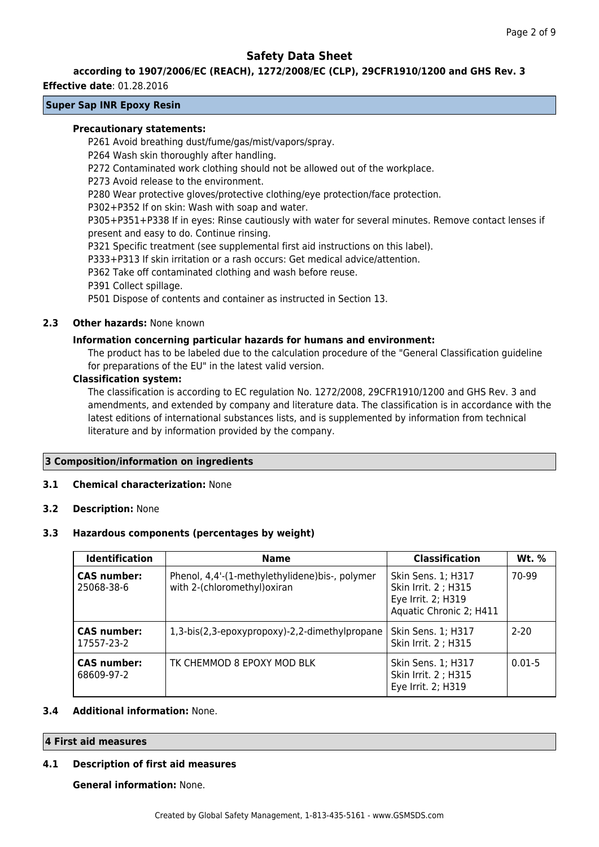### **according to 1907/2006/EC (REACH), 1272/2008/EC (CLP), 29CFR1910/1200 and GHS Rev. 3**

#### **Effective date**: 01.28.2016

## **Super Sap INR Epoxy Resin**

### **Precautionary statements:**

P261 Avoid breathing dust/fume/gas/mist/vapors/spray.

P264 Wash skin thoroughly after handling.

P272 Contaminated work clothing should not be allowed out of the workplace.

P273 Avoid release to the environment.

P280 Wear protective gloves/protective clothing/eye protection/face protection.

P302+P352 If on skin: Wash with soap and water.

P305+P351+P338 If in eyes: Rinse cautiously with water for several minutes. Remove contact lenses if present and easy to do. Continue rinsing.

P321 Specific treatment (see supplemental first aid instructions on this label).

P333+P313 If skin irritation or a rash occurs: Get medical advice/attention.

P362 Take off contaminated clothing and wash before reuse.

P391 Collect spillage.

P501 Dispose of contents and container as instructed in Section 13.

### **2.3 Other hazards:** None known

### **Information concerning particular hazards for humans and environment:**

The product has to be labeled due to the calculation procedure of the "General Classification guideline for preparations of the EU" in the latest valid version.

### **Classification system:**

The classification is according to EC regulation No. 1272/2008, 29CFR1910/1200 and GHS Rev. 3 and amendments, and extended by company and literature data. The classification is in accordance with the latest editions of international substances lists, and is supplemented by information from technical literature and by information provided by the company.

## **3 Composition/information on ingredients**

### **3.1 Chemical characterization:** None

**3.2 Description:** None

### **3.3 Hazardous components (percentages by weight)**

| <b>Identification</b>            | <b>Name</b>                                                                    | <b>Classification</b>                                                                       | Wt. %      |
|----------------------------------|--------------------------------------------------------------------------------|---------------------------------------------------------------------------------------------|------------|
| <b>CAS number:</b><br>25068-38-6 | Phenol, 4,4'-(1-methylethylidene)bis-, polymer<br>with 2-(chloromethyl) oxiran | Skin Sens. 1; H317<br>Skin Irrit. 2 ; H315<br>Eye Irrit. 2; H319<br>Aquatic Chronic 2; H411 | 70-99      |
| <b>CAS number:</b><br>17557-23-2 | 1,3-bis(2,3-epoxypropoxy)-2,2-dimethylpropane                                  | Skin Sens. 1; H317<br>Skin Irrit. 2 ; H315                                                  | $2 - 20$   |
| <b>CAS number:</b><br>68609-97-2 | TK CHEMMOD 8 EPOXY MOD BLK                                                     | Skin Sens. 1; H317<br>Skin Irrit. 2 ; H315<br>Eye Irrit. 2; H319                            | $0.01 - 5$ |

### **3.4 Additional information:** None.

## **4 First aid measures**

### **4.1 Description of first aid measures**

**General information:** None.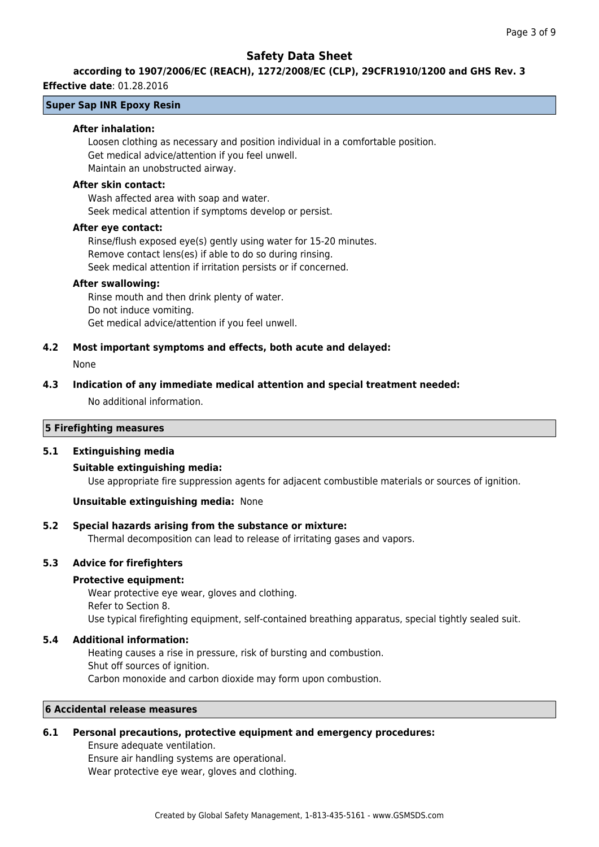## **according to 1907/2006/EC (REACH), 1272/2008/EC (CLP), 29CFR1910/1200 and GHS Rev. 3**

### **Effective date**: 01.28.2016

### **Super Sap INR Epoxy Resin**

#### **After inhalation:**

Loosen clothing as necessary and position individual in a comfortable position. Get medical advice/attention if you feel unwell. Maintain an unobstructed airway.

#### **After skin contact:**

Wash affected area with soap and water. Seek medical attention if symptoms develop or persist.

#### **After eye contact:**

Rinse/flush exposed eye(s) gently using water for 15-20 minutes. Remove contact lens(es) if able to do so during rinsing. Seek medical attention if irritation persists or if concerned.

#### **After swallowing:**

Rinse mouth and then drink plenty of water. Do not induce vomiting. Get medical advice/attention if you feel unwell.

### **4.2 Most important symptoms and effects, both acute and delayed:**

None

#### **4.3 Indication of any immediate medical attention and special treatment needed:**

No additional information.

## **5 Firefighting measures**

### **5.1 Extinguishing media**

### **Suitable extinguishing media:**

Use appropriate fire suppression agents for adjacent combustible materials or sources of ignition.

### **Unsuitable extinguishing media:** None

### **5.2 Special hazards arising from the substance or mixture:**

Thermal decomposition can lead to release of irritating gases and vapors.

### **5.3 Advice for firefighters**

### **Protective equipment:**

Wear protective eye wear, gloves and clothing. Refer to Section 8. Use typical firefighting equipment, self-contained breathing apparatus, special tightly sealed suit.

### **5.4 Additional information:**

Heating causes a rise in pressure, risk of bursting and combustion. Shut off sources of ignition. Carbon monoxide and carbon dioxide may form upon combustion.

## **6 Accidental release measures**

### **6.1 Personal precautions, protective equipment and emergency procedures:**

Ensure adequate ventilation. Ensure air handling systems are operational. Wear protective eye wear, gloves and clothing.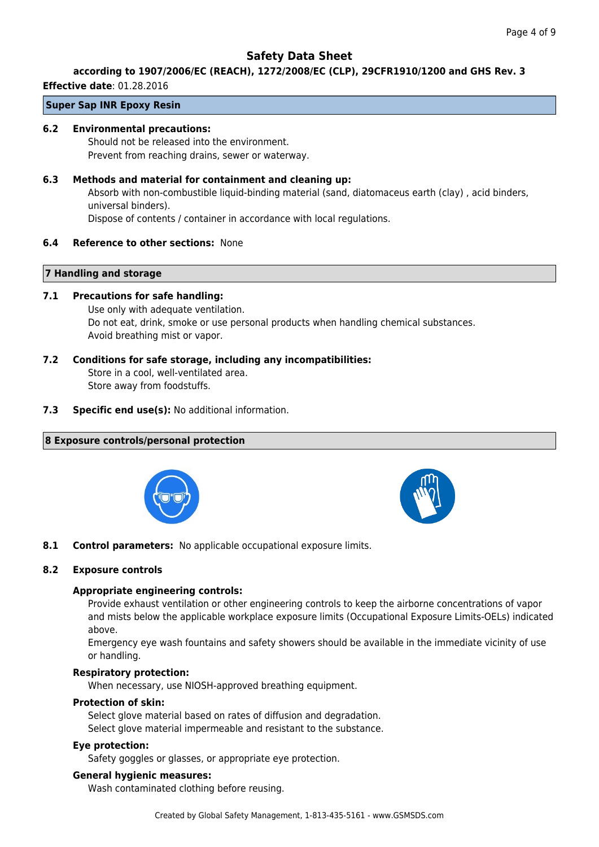## **according to 1907/2006/EC (REACH), 1272/2008/EC (CLP), 29CFR1910/1200 and GHS Rev. 3**

**Effective date**: 01.28.2016

## **Super Sap INR Epoxy Resin**

### **6.2 Environmental precautions:**

Should not be released into the environment. Prevent from reaching drains, sewer or waterway.

### **6.3 Methods and material for containment and cleaning up:**

Absorb with non-combustible liquid-binding material (sand, diatomaceus earth (clay) , acid binders, universal binders).

Dispose of contents / container in accordance with local regulations.

### **6.4 Reference to other sections:** None

### **7 Handling and storage**

### **7.1 Precautions for safe handling:**

Use only with adequate ventilation. Do not eat, drink, smoke or use personal products when handling chemical substances. Avoid breathing mist or vapor.

## **7.2 Conditions for safe storage, including any incompatibilities:**

Store in a cool, well-ventilated area. Store away from foodstuffs.

**7.3 Specific end use(s):** No additional information.

## **8 Exposure controls/personal protection**





**8.1 Control parameters:** No applicable occupational exposure limits.

### **8.2 Exposure controls**

### **Appropriate engineering controls:**

Provide exhaust ventilation or other engineering controls to keep the airborne concentrations of vapor and mists below the applicable workplace exposure limits (Occupational Exposure Limits-OELs) indicated above.

Emergency eye wash fountains and safety showers should be available in the immediate vicinity of use or handling.

### **Respiratory protection:**

When necessary, use NIOSH-approved breathing equipment.

### **Protection of skin:**

Select glove material based on rates of diffusion and degradation. Select glove material impermeable and resistant to the substance.

### **Eye protection:**

Safety goggles or glasses, or appropriate eye protection.

### **General hygienic measures:**

Wash contaminated clothing before reusing.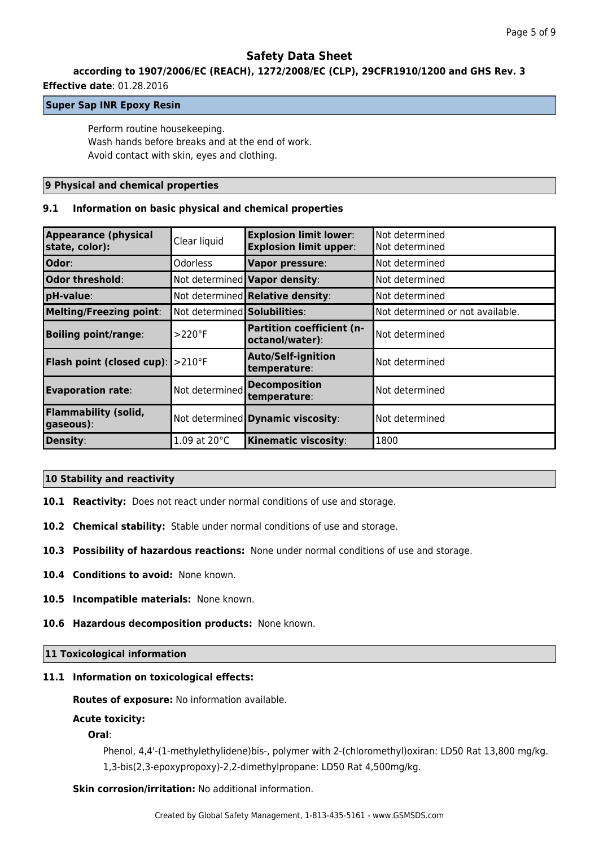## **according to 1907/2006/EC (REACH), 1272/2008/EC (CLP), 29CFR1910/1200 and GHS Rev. 3**

### **Effective date**: 01.28.2016

### **Super Sap INR Epoxy Resin**

Perform routine housekeeping. Wash hands before breaks and at the end of work. Avoid contact with skin, eyes and clothing.

### **9 Physical and chemical properties**

### **9.1 Information on basic physical and chemical properties**

| <b>Appearance (physical</b><br>state, color):         | Clear liquid                 | <b>Explosion limit lower:</b><br><b>Explosion limit upper:</b> | Not determined<br>Not determined |
|-------------------------------------------------------|------------------------------|----------------------------------------------------------------|----------------------------------|
| Odor:                                                 | <b>Odorless</b>              | Vapor pressure:                                                | Not determined                   |
| Odor threshold:                                       |                              | Not determined Vapor density:                                  | Not determined                   |
| pH-value:                                             |                              | Not determined Relative density:                               | Not determined                   |
| Melting/Freezing point:                               | Not determined Solubilities: |                                                                | Not determined or not available. |
| <b>Boiling point/range:</b>                           | $>220^\circ F$               | <b>Partition coefficient (n-</b><br>octanol/water):            | Not determined                   |
| <b>Flash point (closed cup):</b> $\geq 210^{\circ}$ F |                              | <b>Auto/Self-ignition</b><br>temperature:                      | Not determined                   |
| <b>Evaporation rate:</b>                              | Not determined               | <b>Decomposition</b><br>temperature:                           | Not determined                   |
| <b>Flammability (solid,</b><br>gaseous):              |                              | Not determined Dynamic viscosity:                              | Not determined                   |
| Density:                                              | 1.09 at 20°C                 | <b>Kinematic viscosity:</b>                                    | 1800                             |

## **10 Stability and reactivity**

- **10.1 Reactivity:** Does not react under normal conditions of use and storage.
- **10.2 Chemical stability:** Stable under normal conditions of use and storage.
- **10.3 Possibility of hazardous reactions:** None under normal conditions of use and storage.
- **10.4 Conditions to avoid:** None known.
- **10.5 Incompatible materials:** None known.
- **10.6 Hazardous decomposition products:** None known.

### **11 Toxicological information**

### **11.1 Information on toxicological effects:**

**Routes of exposure:** No information available.

### **Acute toxicity:**

## **Oral**:

Phenol, 4,4'-(1-methylethylidene)bis-, polymer with 2-(chloromethyl)oxiran: LD50 Rat 13,800 mg/kg. 1,3-bis(2,3-epoxypropoxy)-2,2-dimethylpropane: LD50 Rat 4,500mg/kg.

**Skin corrosion/irritation:** No additional information.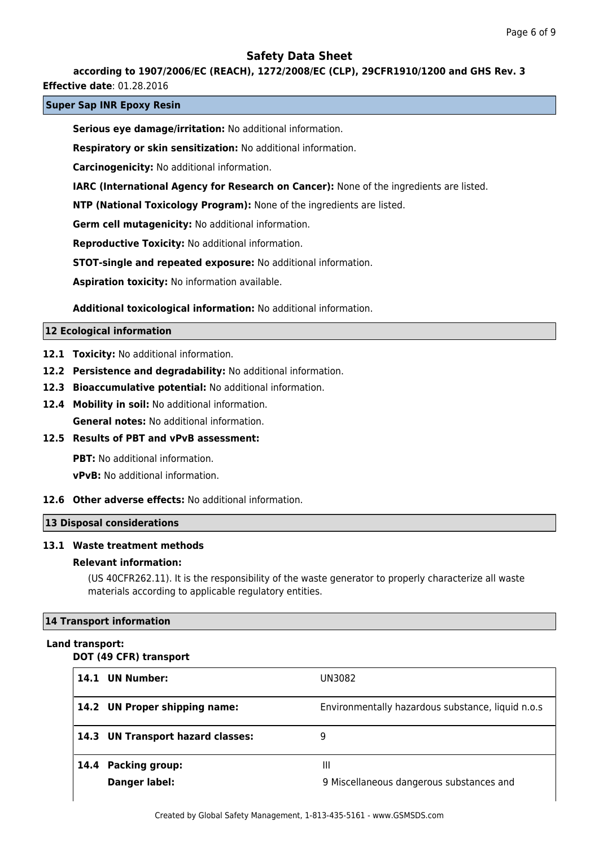### **according to 1907/2006/EC (REACH), 1272/2008/EC (CLP), 29CFR1910/1200 and GHS Rev. 3**

**Effective date**: 01.28.2016

### **Super Sap INR Epoxy Resin**

**Serious eye damage/irritation:** No additional information.

**Respiratory or skin sensitization:** No additional information.

**Carcinogenicity:** No additional information.

**IARC (International Agency for Research on Cancer):** None of the ingredients are listed.

**NTP (National Toxicology Program):** None of the ingredients are listed.

**Germ cell mutagenicity:** No additional information.

**Reproductive Toxicity:** No additional information.

**STOT-single and repeated exposure:** No additional information.

**Aspiration toxicity:** No information available.

**Additional toxicological information:** No additional information.

### **12 Ecological information**

- **12.1 Toxicity:** No additional information.
- **12.2 Persistence and degradability:** No additional information.
- **12.3 Bioaccumulative potential:** No additional information.
- **12.4 Mobility in soil:** No additional information. **General notes:** No additional information.

**12.5 Results of PBT and vPvB assessment:**

**PBT:** No additional information.

**vPvB:** No additional information.

### **12.6 Other adverse effects:** No additional information.

## **13 Disposal considerations**

## **13.1 Waste treatment methods**

### **Relevant information:**

(US 40CFR262.11). It is the responsibility of the waste generator to properly characterize all waste materials according to applicable regulatory entities.

## **14 Transport information**

### **Land transport:**

### **DOT (49 CFR) transport**

| 14.1 UN Number:                   | UN3082                                            |
|-----------------------------------|---------------------------------------------------|
|                                   |                                                   |
| 14.2 UN Proper shipping name:     | Environmentally hazardous substance, liquid n.o.s |
| 14.3 UN Transport hazard classes: | 9                                                 |
|                                   |                                                   |
| 14.4 Packing group:               | Ш                                                 |
| Danger label:                     | 9 Miscellaneous dangerous substances and          |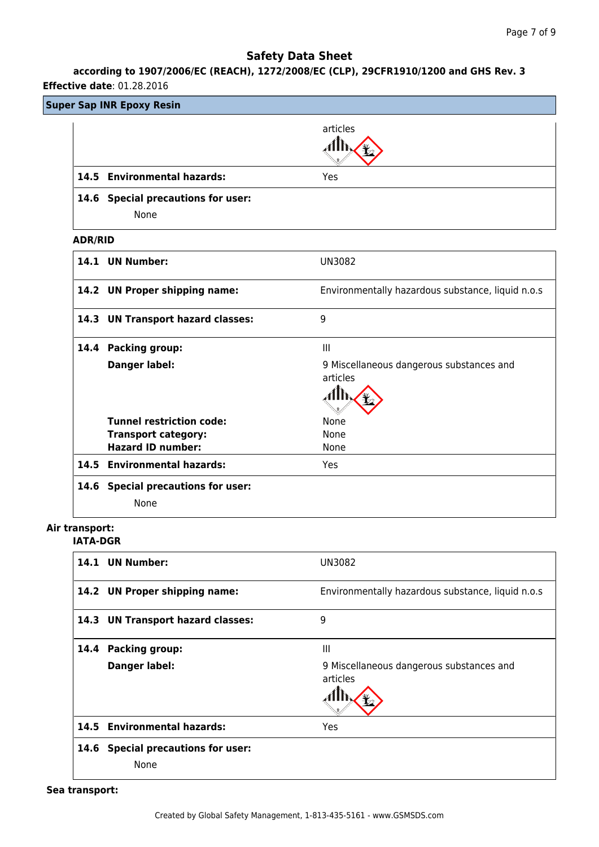# **according to 1907/2006/EC (REACH), 1272/2008/EC (CLP), 29CFR1910/1200 and GHS Rev. 3**

## **Effective date**: 01.28.2016

|                                   | <b>Super Sap INR Epoxy Resin</b>                              |                                                      |
|-----------------------------------|---------------------------------------------------------------|------------------------------------------------------|
|                                   |                                                               | articles<br>đħ.                                      |
|                                   | 14.5 Environmental hazards:                                   | Yes                                                  |
|                                   | 14.6 Special precautions for user:<br>None                    |                                                      |
| <b>ADR/RID</b>                    |                                                               |                                                      |
|                                   | 14.1 UN Number:                                               | <b>UN3082</b>                                        |
|                                   | 14.2 UN Proper shipping name:                                 | Environmentally hazardous substance, liquid n.o.s    |
|                                   | 14.3 UN Transport hazard classes:                             | 9                                                    |
|                                   | 14.4 Packing group:                                           | Ш                                                    |
|                                   | <b>Danger label:</b>                                          | 9 Miscellaneous dangerous substances and<br>articles |
|                                   |                                                               | đħ                                                   |
|                                   | <b>Tunnel restriction code:</b><br><b>Transport category:</b> | None<br>None                                         |
|                                   | <b>Hazard ID number:</b>                                      | None                                                 |
|                                   | 14.5 Environmental hazards:                                   | Yes                                                  |
|                                   | 14.6 Special precautions for user:<br>None                    |                                                      |
| Air transport:<br><b>IATA-DGR</b> |                                                               |                                                      |
|                                   | 14.1 UN Number:                                               | <b>UN3082</b>                                        |
|                                   | 14.2 UN Proper shipping name:                                 | Environmentally hazardous substance, liquid n.o.s    |
|                                   | 14.3 UN Transport hazard classes:                             | 9                                                    |
|                                   | 14.4 Packing group:                                           | $\mathop{\mathsf{III}}\nolimits$                     |
|                                   | <b>Danger label:</b>                                          | 9 Miscellaneous dangerous substances and             |
|                                   |                                                               | articles                                             |
|                                   |                                                               |                                                      |

**14.6 Special precautions for user:**

**14.5 Environmental hazards:** Yes

None

**Sea transport:**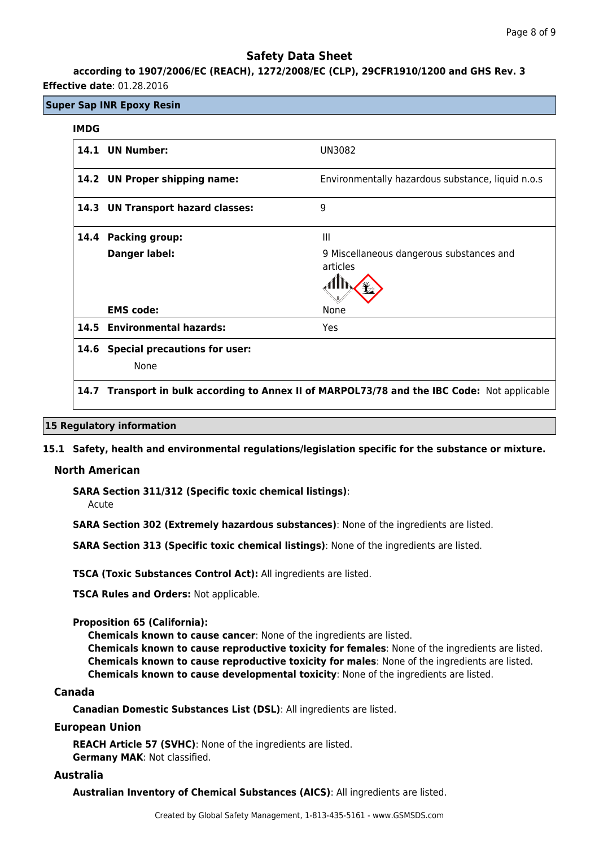**according to 1907/2006/EC (REACH), 1272/2008/EC (CLP), 29CFR1910/1200 and GHS Rev. 3 Effective date**: 01.28.2016

## **Super Sap INR Epoxy Resin**

### **IMDG**

|      | 14.1 UN Number:                      | UN3082                                               |
|------|--------------------------------------|------------------------------------------------------|
|      | 14.2 UN Proper shipping name:        | Environmentally hazardous substance, liquid n.o.s    |
|      | 14.3 UN Transport hazard classes:    | 9                                                    |
| 14.4 | <b>Packing group:</b>                | Ш                                                    |
|      | Danger label:                        | 9 Miscellaneous dangerous substances and<br>articles |
|      | <b>EMS</b> code:                     | None                                                 |
|      | 14.5 Environmental hazards:          | Yes                                                  |
| 14.6 | <b>Special precautions for user:</b> |                                                      |
|      | None                                 |                                                      |

## **14.7 Transport in bulk according to Annex II of MARPOL73/78 and the IBC Code:** Not applicable

### **15 Regulatory information**

### **15.1 Safety, health and environmental regulations/legislation specific for the substance or mixture.**

### **North American**

**SARA Section 311/312 (Specific toxic chemical listings)**:

Acute

**SARA Section 302 (Extremely hazardous substances)**: None of the ingredients are listed.

**SARA Section 313 (Specific toxic chemical listings)**: None of the ingredients are listed.

**TSCA (Toxic Substances Control Act):** All ingredients are listed.

**TSCA Rules and Orders:** Not applicable.

### **Proposition 65 (California):**

**Chemicals known to cause cancer**: None of the ingredients are listed. **Chemicals known to cause reproductive toxicity for females**: None of the ingredients are listed. **Chemicals known to cause reproductive toxicity for males**: None of the ingredients are listed. **Chemicals known to cause developmental toxicity**: None of the ingredients are listed.

### **Canada**

**Canadian Domestic Substances List (DSL)**: All ingredients are listed.

### **European Union**

**REACH Article 57 (SVHC)**: None of the ingredients are listed. **Germany MAK**: Not classified.

## **Australia**

**Australian Inventory of Chemical Substances (AICS)**: All ingredients are listed.